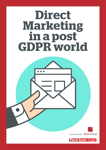# **Direct Marketing in a post GDPR world**

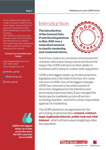As a insight company, REaD Group As an experienced data and have helped many charites to get great results from their data marketing for more than 25 years.

With GDPR our services have become even more important and relevant to our clients from optimising data selections and data quality to campaign reporting and analysis.

#### Contact our friendly team today!

enquiries@readgroup.co.uk 020 7089 6400 www.readgroup.co.uk

 $\sqrt{\alpha}$  @read\_group

**in REaD Group Ltd** 

© read\_group

the regulation. GDPR is the biggest shake-up of data protection since the DPA came into force in 1998

### Introduction

**The introduction of the General Data Protection Regulations in May 2018 was a watershed moment in charity marketing and communications.** 

And it has created an uncertain environment for charities, with many being concerned about the impact the GDPR will have on their ability to fundraise and to keep in contact with supporters.

GDPR is the biggest shake-up of data protection legislation since the Data Protection Act came into force in 1998. One of the biggest changes GDPR has overseen is the enforcement of strict new obligations for the retention and processing of personal data. It has changed the landscape for marketers across all sectors – including charities - and led to a more responsible approach to marketing.

The GDPR allows for six legal bases for the processing of personal data: **consent, contract, legal, legitimate interest, public task and vital interest** - which all have equal weighting under

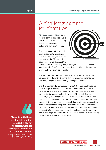### A challenging time for charities

**GDPR comes at a difficult time** for marketing in charities. Public trust remains an issue, especially following the revelations at Oxfam and Save the Children.

The latest scandals follow public disquiet at charity fundraising practices that emerged following the death of the 92-year-old poppy seller Olive Cooke in 2015.



At her inquest the following year, it emerged that Cooke had been inundated with 3,000 mailings a year. The fallout led to the eventual creation of the Fundraising Regulator.

The result has been reduced public trust in charities, with the Charity Commission earlier in 2018 saying that charities were no longer as trusted by the public as the average stranger in the street.

Charities had feared a perfect storm, with GDPR potentially robbing them of ways of keeping in contact with their donors at a time of negative press coverage of the sector. But Kirsty Marrins, a digital communications consultant and a trustee of the Small Charities Coalition, says that despite initial fears over the introduction of GDPR, the law has not necessarily had the bad impact on charities that many expected. "Some have said it's not really had any impact because they were compliant in the first place – or didn't have to do too much to become compliant," she says. "Some have said it's been a good thing because it's forced them to clean up their data and now they're only communicating with people who really want to hear from them, leading to better engagement and conversions."



"Despite initial fears over the introduction of GDPR, it has not necessarily had the bad impact on charities that many expected."

*Kirsty Marrins, trustee of the Small Charities Coalition*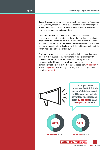James Davis, group insight manager at the Direct Marketing Association (DMA), also says that GDPR has allowed charities to be more targeted in who they communicate with, and therefore more effective in getting responses from donors and supporters.

Davis says, "Research by the DMA about effective customer engagement tells us that contacting those who have had a meaningful interaction with a brand is a much more successful method. Charities and their marketing teams now need to be innovative and diversify their approach, contacting their databases with the right opportunities at the right times – being transparent is key."

Davis says the public are increasingly seeing their personal data as an asset that they can use to their advantage in data exchanges with organisations. He highlights the DMA's Data privacy: What the consumer really thinks report, which says that the proportion of consumers that hold such a mindset has increased from **40 per cent** in 2012 to **56 per cent** now. Among 18 to 24-year-olds, this agreement rises to **61 per cent**.

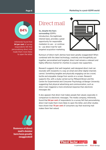#### **Page 6**



Infotrends found that **84 per cent** of survey respondents felt that personalising direct mail made them more likely to open the letter

## Direct mail

**So, despite the fears surrounding** GDPR's introduction, the legitimate interest basis, provides a great opportunity for responsible marketers to use – or continue to - use direct mail for well targeted acquisition marketing.



Rumours of direct mail's demise have been greatly exaggerated! When combined with the latest technology, creatively and thoughtfully put together, personalised and targeted, direct mail remains a relevant and highly-effective channel for charities to acquire new supporters.

Research suggests that well-targeted, well-designed direct mail can resonate with recipients in a way an email and other digital channels cannot. Something tangible and physically engaging can be a novel, tactile and enjoyable change from words on a screen. Research supports this, with a study carried out by Millward Brown and the Centre for Experimental and Consumer Psychology at Bangor University suggesting that physical advertising and communication, such as direct mail, triggered a more emotional response than electronic messages did.

It also appears that direct mail makes people feel valued, especially in comparison to electronic messages. The media company, Infotrends, found that **84 per cent** of respondents to a survey felt that personalising direct mail made them more likely to open the letter, and other studies have shown that **70 per cent** of consumers say that receiving mail makes them feel valued.



Rumours of direct mail's demise have been greatly exaggerated!

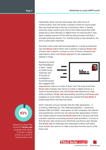Importantly, direct mail also lasts longer than other forms of communication. Post will remain in people's homes for much longer than any email will stay at the top of someone's inbox. A Temple University study carried out for the US Post Office found that while people focus more intensely on digital forms of communication, they spent a greater amount of time with the physical advert and had a stronger emotional reaction. For charities trying to raise donations, this point is particularly important.

And direct mail is both read and responded to. A study by Infotrends says that **66 per cent** of direct mail is opened. If opened, **82 per cent** of direct mail is read for a minute or more. Of those consumers that responded to direct mail, **56 per cent** went to the organisation's website or shops.

Research by Royal Mail MarketReach in 2014 – based on 9,500 survey responses and 18 months of investigation – found that people also engaged with



organisations online as a result of direct mail. The study found that **92 per cent** of people were driven to online or digital activity as a result of receiving direct mail, with **87 per cent** influenced to make online purchases, **43 per cent** downloading something and **54 per cent** engaging on social media. The study also showed that **two-thirds** of people keep direct mail they find useful.

Direct mail does not just resonate with the older generations – it is loved by millennials too. The millennial generation – those born between 1982 and 2000 – have grown up with computers, the internet and smartphones, but this has not reduced their appreciation of direct mail. Gallop research found that **95 per cent** of 18 to 29-year-olds have a positive response to receiving personal cards and letters. A survey of 18 to 66-year-olds carried out by InfoTrends and Prinova also showed that **63 per cent** of millennials who responded to direct mail within three months also went on to make a purchase from the source of the direct mail.



Research by Royal Mail found that **92 per cent** of people were driven to online or digital activity as a result of receiving direct mail